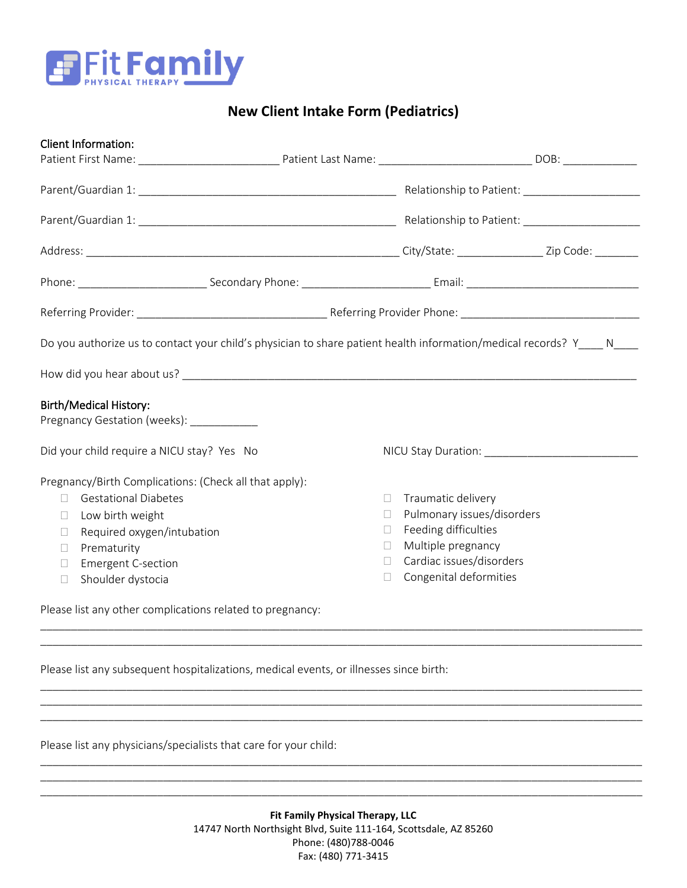

## **New Client Intake Form (Pediatrics)**

| <b>Client Information:</b>                                                                                     |              |                            |  |
|----------------------------------------------------------------------------------------------------------------|--------------|----------------------------|--|
|                                                                                                                |              |                            |  |
|                                                                                                                |              |                            |  |
|                                                                                                                |              |                            |  |
|                                                                                                                |              |                            |  |
|                                                                                                                |              |                            |  |
|                                                                                                                |              |                            |  |
| Do you authorize us to contact your child's physician to share patient health information/medical records? Y N |              |                            |  |
|                                                                                                                |              |                            |  |
| <b>Birth/Medical History:</b><br>Pregnancy Gestation (weeks): ___________                                      |              |                            |  |
| Did your child require a NICU stay? Yes No                                                                     |              |                            |  |
| Pregnancy/Birth Complications: (Check all that apply):                                                         |              |                            |  |
| <b>Gestational Diabetes</b><br>П                                                                               | П            | Traumatic delivery         |  |
| Low birth weight<br>$\mathbf{L}$                                                                               | $\mathbf{L}$ | Pulmonary issues/disorders |  |
| Required oxygen/intubation<br>П                                                                                | П            | Feeding difficulties       |  |
| Prematurity<br>П                                                                                               | П            | Multiple pregnancy         |  |
| <b>Emergent C-section</b><br>П                                                                                 | $\Box$       | Cardiac issues/disorders   |  |
| Shoulder dystocia<br>$\Box$                                                                                    | $\Box$       | Congenital deformities     |  |
| Please list any other complications related to pregnancy:                                                      |              |                            |  |
|                                                                                                                |              |                            |  |

Please list any subsequent hospitalizations, medical events, or illnesses since birth:

Please list any physicians/specialists that care for your child:

\_\_\_\_\_\_\_\_\_\_\_\_\_\_\_\_\_\_\_\_\_\_\_\_\_\_\_\_\_\_\_\_\_\_\_\_\_\_\_\_\_\_\_\_\_\_\_\_\_\_\_\_\_\_\_\_\_\_\_\_\_\_\_\_\_\_\_\_\_\_\_\_\_\_\_\_\_\_\_\_\_\_\_\_\_\_\_\_\_\_\_\_\_\_\_\_\_\_

\_\_\_\_\_\_\_\_\_\_\_\_\_\_\_\_\_\_\_\_\_\_\_\_\_\_\_\_\_\_\_\_\_\_\_\_\_\_\_\_\_\_\_\_\_\_\_\_\_\_\_\_\_\_\_\_\_\_\_\_\_\_\_\_\_\_\_\_\_\_\_\_\_\_\_\_\_\_\_\_\_\_\_\_\_\_\_\_\_\_\_\_\_\_\_\_\_\_ \_\_\_\_\_\_\_\_\_\_\_\_\_\_\_\_\_\_\_\_\_\_\_\_\_\_\_\_\_\_\_\_\_\_\_\_\_\_\_\_\_\_\_\_\_\_\_\_\_\_\_\_\_\_\_\_\_\_\_\_\_\_\_\_\_\_\_\_\_\_\_\_\_\_\_\_\_\_\_\_\_\_\_\_\_\_\_\_\_\_\_\_\_\_\_\_\_\_ \_\_\_\_\_\_\_\_\_\_\_\_\_\_\_\_\_\_\_\_\_\_\_\_\_\_\_\_\_\_\_\_\_\_\_\_\_\_\_\_\_\_\_\_\_\_\_\_\_\_\_\_\_\_\_\_\_\_\_\_\_\_\_\_\_\_\_\_\_\_\_\_\_\_\_\_\_\_\_\_\_\_\_\_\_\_\_\_\_\_\_\_\_\_\_\_\_\_

\_\_\_\_\_\_\_\_\_\_\_\_\_\_\_\_\_\_\_\_\_\_\_\_\_\_\_\_\_\_\_\_\_\_\_\_\_\_\_\_\_\_\_\_\_\_\_\_\_\_\_\_\_\_\_\_\_\_\_\_\_\_\_\_\_\_\_\_\_\_\_\_\_\_\_\_\_\_\_\_\_\_\_\_\_\_\_\_\_\_\_\_\_\_\_\_\_\_ \_\_\_\_\_\_\_\_\_\_\_\_\_\_\_\_\_\_\_\_\_\_\_\_\_\_\_\_\_\_\_\_\_\_\_\_\_\_\_\_\_\_\_\_\_\_\_\_\_\_\_\_\_\_\_\_\_\_\_\_\_\_\_\_\_\_\_\_\_\_\_\_\_\_\_\_\_\_\_\_\_\_\_\_\_\_\_\_\_\_\_\_\_\_\_\_\_\_ \_\_\_\_\_\_\_\_\_\_\_\_\_\_\_\_\_\_\_\_\_\_\_\_\_\_\_\_\_\_\_\_\_\_\_\_\_\_\_\_\_\_\_\_\_\_\_\_\_\_\_\_\_\_\_\_\_\_\_\_\_\_\_\_\_\_\_\_\_\_\_\_\_\_\_\_\_\_\_\_\_\_\_\_\_\_\_\_\_\_\_\_\_\_\_\_\_\_